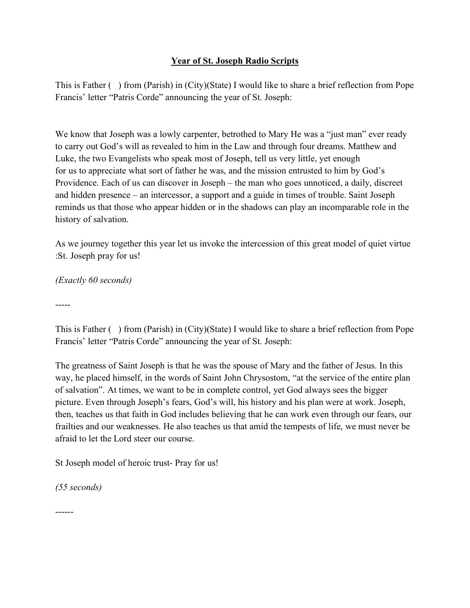## **Year of St. Joseph Radio Scripts**

This is Father ( ) from (Parish) in (City)(State) I would like to share a brief reflection from Pope Francis' letter "Patris Corde" announcing the year of St. Joseph:

We know that Joseph was a lowly carpenter, betrothed to Mary He was a "just man" ever ready to carry out God's will as revealed to him in the Law and through four dreams. Matthew and Luke, the two Evangelists who speak most of Joseph, tell us very little, yet enough for us to appreciate what sort of father he was, and the mission entrusted to him by God's Providence. Each of us can discover in Joseph – the man who goes unnoticed, a daily, discreet and hidden presence – an intercessor, a support and a guide in times of trouble. Saint Joseph reminds us that those who appear hidden or in the shadows can play an incomparable role in the history of salvation.

As we journey together this year let us invoke the intercession of this great model of quiet virtue :St. Joseph pray for us!

*(Exactly 60 seconds)*

-----

This is Father ( ) from (Parish) in (City)(State) I would like to share a brief reflection from Pope Francis' letter "Patris Corde" announcing the year of St. Joseph:

The greatness of Saint Joseph is that he was the spouse of Mary and the father of Jesus. In this way, he placed himself, in the words of Saint John Chrysostom, "at the service of the entire plan of salvation". At times, we want to be in complete control, yet God always sees the bigger picture. Even through Joseph's fears, God's will, his history and his plan were at work. Joseph, then, teaches us that faith in God includes believing that he can work even through our fears, our frailties and our weaknesses. He also teaches us that amid the tempests of life, we must never be afraid to let the Lord steer our course.

St Joseph model of heroic trust- Pray for us!

*(55 seconds)*

------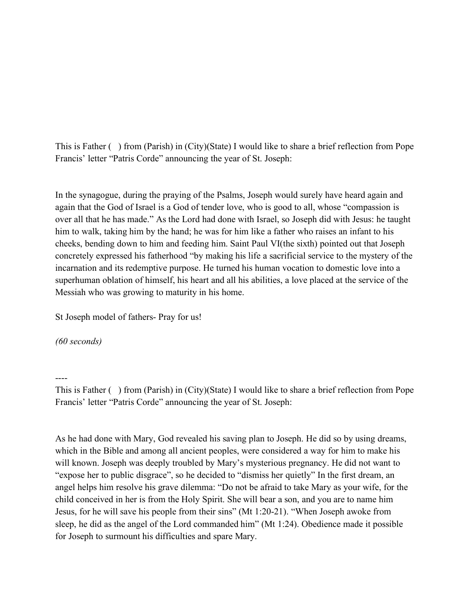This is Father ( ) from (Parish) in (City)(State) I would like to share a brief reflection from Pope Francis' letter "Patris Corde" announcing the year of St. Joseph:

In the synagogue, during the praying of the Psalms, Joseph would surely have heard again and again that the God of Israel is a God of tender love, who is good to all, whose "compassion is over all that he has made." As the Lord had done with Israel, so Joseph did with Jesus: he taught him to walk, taking him by the hand; he was for him like a father who raises an infant to his cheeks, bending down to him and feeding him. Saint Paul VI(the sixth) pointed out that Joseph concretely expressed his fatherhood "by making his life a sacrificial service to the mystery of the incarnation and its redemptive purpose. He turned his human vocation to domestic love into a superhuman oblation of himself, his heart and all his abilities, a love placed at the service of the Messiah who was growing to maturity in his home.

St Joseph model of fathers- Pray for us!

*(60 seconds)*

----

This is Father ( ) from (Parish) in (City)(State) I would like to share a brief reflection from Pope Francis' letter "Patris Corde" announcing the year of St. Joseph:

As he had done with Mary, God revealed his saving plan to Joseph. He did so by using dreams, which in the Bible and among all ancient peoples, were considered a way for him to make his will known. Joseph was deeply troubled by Mary's mysterious pregnancy. He did not want to "expose her to public disgrace", so he decided to "dismiss her quietly" In the first dream, an angel helps him resolve his grave dilemma: "Do not be afraid to take Mary as your wife, for the child conceived in her is from the Holy Spirit. She will bear a son, and you are to name him Jesus, for he will save his people from their sins" (Mt 1:20-21). "When Joseph awoke from sleep, he did as the angel of the Lord commanded him" (Mt 1:24). Obedience made it possible for Joseph to surmount his difficulties and spare Mary.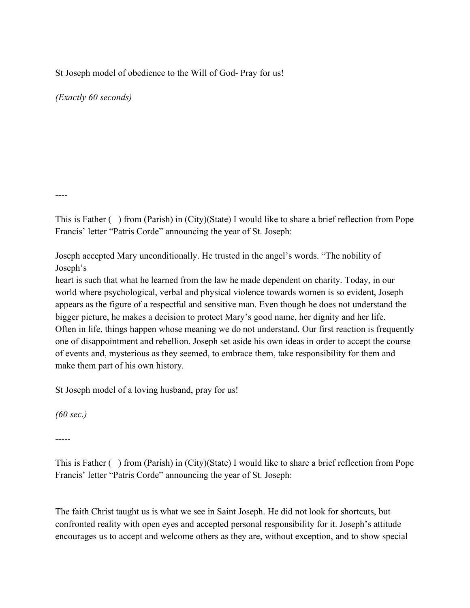St Joseph model of obedience to the Will of God- Pray for us!

*(Exactly 60 seconds)*

----

This is Father ( ) from (Parish) in (City)(State) I would like to share a brief reflection from Pope Francis' letter "Patris Corde" announcing the year of St. Joseph:

Joseph accepted Mary unconditionally. He trusted in the angel's words. "The nobility of Joseph's

heart is such that what he learned from the law he made dependent on charity. Today, in our world where psychological, verbal and physical violence towards women is so evident, Joseph appears as the figure of a respectful and sensitive man. Even though he does not understand the bigger picture, he makes a decision to protect Mary's good name, her dignity and her life. Often in life, things happen whose meaning we do not understand. Our first reaction is frequently one of disappointment and rebellion. Joseph set aside his own ideas in order to accept the course of events and, mysterious as they seemed, to embrace them, take responsibility for them and make them part of his own history.

St Joseph model of a loving husband, pray for us!

*(60 sec.)*

-----

This is Father ( ) from (Parish) in (City)(State) I would like to share a brief reflection from Pope Francis' letter "Patris Corde" announcing the year of St. Joseph:

The faith Christ taught us is what we see in Saint Joseph. He did not look for shortcuts, but confronted reality with open eyes and accepted personal responsibility for it. Joseph's attitude encourages us to accept and welcome others as they are, without exception, and to show special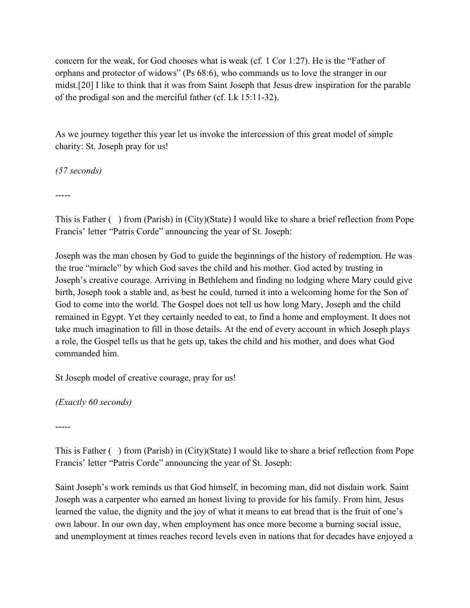concern for the weak, for God chooses what is weak (cf. 1 Cor 1:27). He is the "Father of orphans and protector of widows" (Ps 68:6), who commands us to love the stranger in our midst.[20] I like to think that it was from Saint Joseph that Jesus drew inspiration for the parable of the prodigal son and the merciful father (cf. Lk 15:11-32).

As we journey together this year let us invoke the intercession of this great model of simple charity: St. Joseph pray for us!

*(57 seconds)*

-----

This is Father ( ) from (Parish) in (City)(State) I would like to share a brief reflection from Pope Francis' letter "Patris Corde" announcing the year of St. Joseph:

Joseph was the man chosen by God to guide the beginnings of the history of redemption. He was the true "miracle" by which God saves the child and his mother. God acted by trusting in Joseph's creative courage. Arriving in Bethlehem and finding no lodging where Mary could give birth, Joseph took a stable and, as best he could, turned it into a welcoming home for the Son of God to come into the world. The Gospel does not tell us how long Mary, Joseph and the child remained in Egypt. Yet they certainly needed to eat, to find a home and employment. It does not take much imagination to fill in those details. At the end of every account in which Joseph plays a role, the Gospel tells us that he gets up, takes the child and his mother, and does what God commanded him.

St Joseph model of creative courage, pray for us!

*(Exactly 60 seconds)* 

-----

This is Father ( ) from (Parish) in (City)(State) I would like to share a brief reflection from Pope Francis' letter "Patris Corde" announcing the year of St. Joseph:

Saint Joseph's work reminds us that God himself, in becoming man, did not disdain work. Saint Joseph was a carpenter who earned an honest living to provide for his family. From him, Jesus learned the value, the dignity and the joy of what it means to eat bread that is the fruit of one's own labour. In our own day, when employment has once more become a burning social issue, and unemployment at times reaches record levels even in nations that for decades have enjoyed a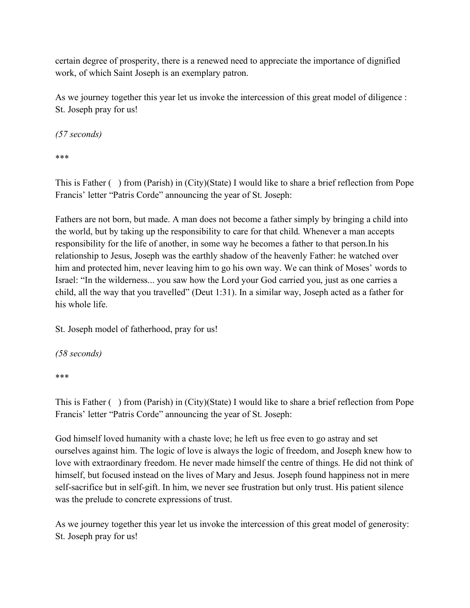certain degree of prosperity, there is a renewed need to appreciate the importance of dignified work, of which Saint Joseph is an exemplary patron.

As we journey together this year let us invoke the intercession of this great model of diligence : St. Joseph pray for us!

*(57 seconds)*

\*\*\*

This is Father ( ) from (Parish) in (City)(State) I would like to share a brief reflection from Pope Francis' letter "Patris Corde" announcing the year of St. Joseph:

Fathers are not born, but made. A man does not become a father simply by bringing a child into the world, but by taking up the responsibility to care for that child. Whenever a man accepts responsibility for the life of another, in some way he becomes a father to that person.In his relationship to Jesus, Joseph was the earthly shadow of the heavenly Father: he watched over him and protected him, never leaving him to go his own way. We can think of Moses' words to Israel: "In the wilderness... you saw how the Lord your God carried you, just as one carries a child, all the way that you travelled" (Deut 1:31). In a similar way, Joseph acted as a father for his whole life.

St. Joseph model of fatherhood, pray for us!

*(58 seconds)*

\*\*\*

This is Father ( ) from (Parish) in (City)(State) I would like to share a brief reflection from Pope Francis' letter "Patris Corde" announcing the year of St. Joseph:

God himself loved humanity with a chaste love; he left us free even to go astray and set ourselves against him. The logic of love is always the logic of freedom, and Joseph knew how to love with extraordinary freedom. He never made himself the centre of things. He did not think of himself, but focused instead on the lives of Mary and Jesus. Joseph found happiness not in mere self-sacrifice but in self-gift. In him, we never see frustration but only trust. His patient silence was the prelude to concrete expressions of trust.

As we journey together this year let us invoke the intercession of this great model of generosity: St. Joseph pray for us!